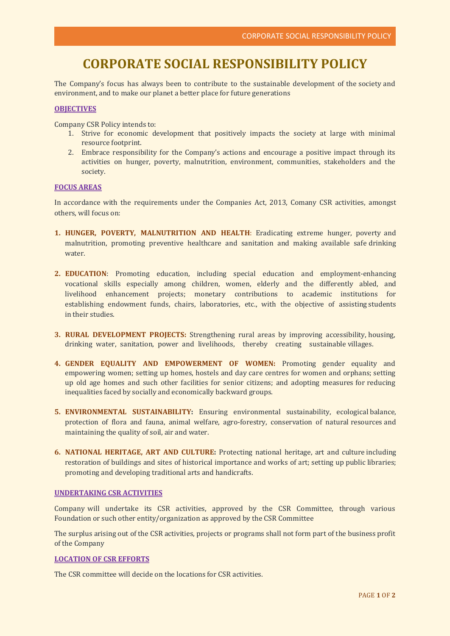# **CORPORATE SOCIAL RESPONSIBILITY POLICY**

The Company's focus has always been to contribute to the sustainable development of the society and environment, and to make our planet a better place for future generations

#### **OBJECTIVES**

Company CSR Policy intends to:

- 1. Strive for economic development that positively impacts the society at large with minimal resource footprint.
- 2. Embrace responsibility for the Company's actions and encourage a positive impact through its activities on hunger, poverty, malnutrition, environment, communities, stakeholders and the society.

## **FOCUS AREAS**

In accordance with the requirements under the Companies Act, 2013, Comany CSR activities, amongst others, will focus on:

- **1. HUNGER, POVERTY, MALNUTRITION AND HEALTH**: Eradicating extreme hunger, poverty and malnutrition, promoting preventive healthcare and sanitation and making available safe drinking water.
- **2. EDUCATION**: Promoting education, including special education and employment-enhancing vocational skills especially among children, women, elderly and the differently abled, and livelihood enhancement projects; monetary contributions to academic institutions for establishing endowment funds, chairs, laboratories, etc., with the objective of assisting students in their studies.
- **3. RURAL DEVELOPMENT PROJECTS:** Strengthening rural areas by improving accessibility, housing, drinking water, sanitation, power and livelihoods, thereby creating sustainable villages.
- **4. GENDER EQUALITY AND EMPOWERMENT OF WOMEN:** Promoting gender equality and empowering women; setting up homes, hostels and day care centres for women and orphans; setting up old age homes and such other facilities for senior citizens; and adopting measures for reducing inequalities faced by socially and economically backward groups.
- **5. ENVIRONMENTAL SUSTAINABILITY:** Ensuring environmental sustainability, ecological balance, protection of flora and fauna, animal welfare, agro-forestry, conservation of natural resources and maintaining the quality of soil, air and water.
- **6. NATIONAL HERITAGE, ART AND CULTURE:** Protecting national heritage, art and culture including restoration of buildings and sites of historical importance and works of art; setting up public libraries; promoting and developing traditional arts and handicrafts.

#### **UNDERTAKING CSR ACTIVITIES**

Company will undertake its CSR activities, approved by the CSR Committee, through various Foundation or such other entity/organization as approved by the CSR Committee

The surplus arising out of the CSR activities, projects or programs shall not form part of the business profit of the Company

#### **LOCATION OF CSR EFFORTS**

The CSR committee will decide on the locations for CSR activities.